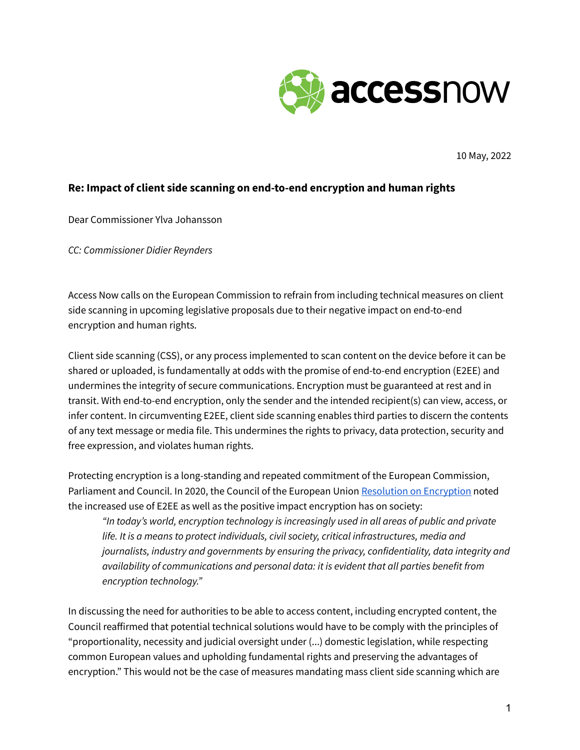

10 May, 2022

## **Re: Impact of client side scanning on end-to-end encryption and human rights**

Dear Commissioner Ylva Johansson

*CC: Commissioner Didier Reynders*

Access Now calls on the European Commission to refrain from including technical measures on client side scanning in upcoming legislative proposals due to their negative impact on end-to-end encryption and human rights.

Client side scanning (CSS), or any process implemented to scan content on the device before it can be shared or uploaded, is fundamentally at odds with the promise of end-to-end encryption (E2EE) and undermines the integrity of secure communications. Encryption must be guaranteed at rest and in transit. With end-to-end encryption, only the sender and the intended recipient(s) can view, access, or infer content. In circumventing E2EE, client side scanning enables third parties to discern the contents of any text message or media file. This undermines the rights to privacy, data protection, security and free expression, and violates human rights.

Protecting encryption is a long-standing and repeated commitment of the European Commission, Parliament and Council. In 2020, the Council of the European Union Resolution on [Encryption](https://data.consilium.europa.eu/doc/document/ST-13084-2020-REV-1/en/pdf) noted the increased use of E2EE as well as the positive impact encryption has on society:

*"In today's world, encryption technology is increasingly used in all areas of public and private life. It is a means to protect individuals, civil society, critical infrastructures, media and journalists, industry and governments by ensuring the privacy, confidentiality, data integrity and availability of communications and personal data: it is evident that all parties benefit from encryption technology."*

In discussing the need for authorities to be able to access content, including encrypted content, the Council reaffirmed that potential technical solutions would have to be comply with the principles of "proportionality, necessity and judicial oversight under (...) domestic legislation, while respecting common European values and upholding fundamental rights and preserving the advantages of encryption." This would not be the case of measures mandating mass client side scanning which are